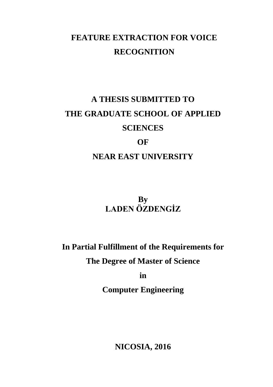## **FEATURE EXTRACTION FOR VOICE RECOGNITION**

# **A THESIS SUBMITTED TO THE GRADUATE SCHOOL OF APPLIED SCIENCES**

## **OF**

## **NEAR EAST UNIVERSITY**

**By LADEN ÖZDENGİZ**

**In Partial Fulfillment of the Requirements for**

**The Degree of Master of Science**

**in**

**Computer Engineering**

**NICOSIA, 2016**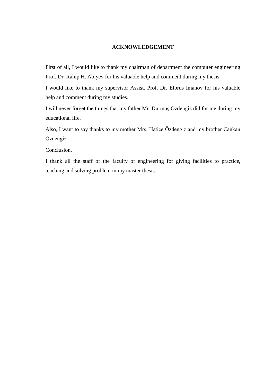#### **ACKNOWLEDGEMENT**

First of all, I would like to thank my chairman of department the computer engineering Prof. Dr. Rahip H. Abiyev for his valuable help and comment during my thesis.

I would like to thank my supervisor Assist. Prof. Dr. Elbrus Imanov for his valuable help and comment during my studies.

I will never forget the things that my father Mr. Durmuş Özdengiz did for me during my educational life.

Also, I want to say thanks to my mother Mrs. Hatice Özdengiz and my brother Cankan Özdengiz.

Conclusion,

I thank all the staff of the faculty of engineering for giving facilities to practice, teaching and solving problem in my master thesis.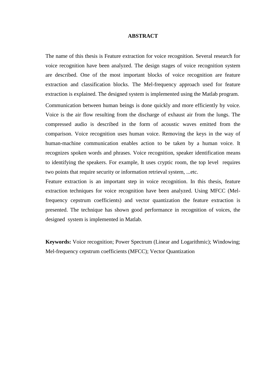#### **ABSTRACT**

The name of this thesis is Feature extraction for voice recognition. Several research for voice recognition have been analyzed. The design stages of voice recognition system are described. One of the most important blocks of voice recognition are feature extraction and classification blocks. The Mel-frequency approach used for feature extraction is explained. The designed system is implemented using the Matlab program.

Communication between human beings is done quickly and more efficiently by voice. Voice is the air flow resulting from the discharge of exhaust air from the lungs. The compressed audio is described in the form of acoustic waves emitted from the comparison. Voice recognition uses human voice. Removing the keys in the way of human-machine communication enables action to be taken by a human voice. It recognizes spoken words and phrases. Voice recognition, speaker identification means to identifying the speakers. For example, It uses cryptic room, the top level requires two points that require security or information retrieval system, ...etc.

Feature extraction is an important step in voice recognition. In this thesis, feature extraction techniques for voice recognition have been analyzed. Using MFCC (Melfrequency cepstrum coefficients) and vector quantization the feature extraction is presented. The technique has shown good performance in recognition of voices, the designed system is implemented in Matlab.

**Keywords:** Voice recognition; Power Spectrum (Linear and Logarithmic); Windowing; Mel-frequency cepstrum coefficients (MFCC); Vector Quantization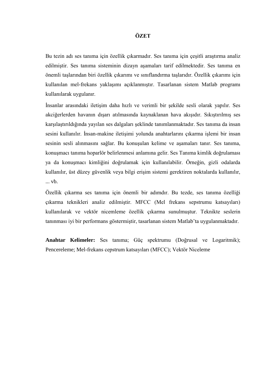#### **ÖZET**

Bu tezin adı ses tanıma için özellik çıkarmadır. Ses tanıma için çeşitli araştırma analiz edilmiştir. Ses tanıma sisteminin dizayn aşamaları tarif edilmektedir. Ses tanıma en önemli taşlarından biri özellik çıkarımı ve sınıflandırma taşlarıdır. Özellik çıkarımı için kullanılan mel-frekans yaklaşımı açıklanmıştır. Tasarlanan sistem Matlab programı kullanılarak uygulanır.

İnsanlar arasındaki iletişim daha hızlı ve verimli bir şekilde sesli olarak yapılır. Ses akciğerlerden havanın dışarı atılmasında kaynaklanan hava akışıdır. Sıkıştırılmış ses karşılaştırıldığında yayılan ses dalgaları şeklinde tanımlanmaktadır. Ses tanıma da insan sesini kullanılır. İnsan-makine iletişimi yolunda anahtarlarını çıkarma işlemi bir insan sesinin sesli alınmasını sağlar. Bu konuşulan kelime ve aşamaları tanır. Ses tanıma, konuşmacı tanıma hoparlör belirlenmesi anlamına gelir. Ses Tanıma kimlik doğrulaması ya da konuşmacı kimliğini doğrulamak için kullanılabilir. Örneğin, gizli odalarda kullanılır, üst düzey güvenlik veya bilgi erişim sistemi gerektiren noktalarda kullanılır, ... vb.

Özellik çıkarma ses tanıma için önemli bir adımdır. Bu tezde, ses tanıma özelliği çıkarma teknikleri analiz edilmiştir. MFCC (Mel frekans sepstrumu katsayıları) kullanılarak ve vektör nicemleme özellik çıkarma sunulmuştur. Teknikte seslerin tanınması iyi bir performans göstermiştir, tasarlanan sistem Matlab'ta uygulanmaktadır.

**Anahtar Kelimeler:** Ses tanıma; Güç spektrumu (Doğrusal ve Logaritmik); Pencereleme; Mel-frekans cepstrum katsayıları (MFCC); Vektör Niceleme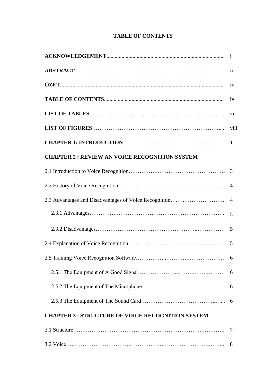## **TABLE OF CONTENTS**

| $\mathbf{ii}$                                                           |                |  |  |  |
|-------------------------------------------------------------------------|----------------|--|--|--|
| iii                                                                     |                |  |  |  |
| iv                                                                      |                |  |  |  |
|                                                                         | vii            |  |  |  |
|                                                                         | viii           |  |  |  |
|                                                                         |                |  |  |  |
| <b>CHAPTER 2: REVIEW AN VOICE RECOGNITION SYSTEM</b>                    |                |  |  |  |
|                                                                         |                |  |  |  |
| $\overline{4}$                                                          |                |  |  |  |
| 2.3 Advantages and Disadvantages of Voice Recognition<br>$\overline{4}$ |                |  |  |  |
|                                                                         | $\overline{5}$ |  |  |  |
|                                                                         | 5              |  |  |  |
|                                                                         | 5              |  |  |  |
|                                                                         |                |  |  |  |
| 6                                                                       |                |  |  |  |
|                                                                         | 6              |  |  |  |
|                                                                         | 6              |  |  |  |
| <b>CHAPTER 3: STRUCTURE OF VOICE RECOGNITION SYSTEM</b>                 |                |  |  |  |
|                                                                         | 7              |  |  |  |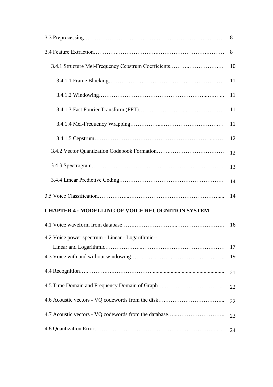|                                                         | 8  |
|---------------------------------------------------------|----|
|                                                         | 8  |
| 3.4.1 Structure Mel-Frequency Cepstrum Coefficients     | 10 |
|                                                         | 11 |
|                                                         | 11 |
|                                                         | 11 |
|                                                         | 11 |
|                                                         | 12 |
|                                                         | 12 |
|                                                         | 13 |
|                                                         | 14 |
|                                                         | 14 |
| <b>CHAPTER 4: MODELLING OF VOICE RECOGNITION SYSTEM</b> |    |
|                                                         | 16 |
| 4.2 Voice power spectrum - Linear - Logarithmic--       |    |
|                                                         | 17 |
|                                                         | 19 |
|                                                         | 21 |
|                                                         | 22 |
|                                                         | 22 |
| 4.7 Acoustic vectors - VQ codewords from the database   | 23 |
|                                                         | 24 |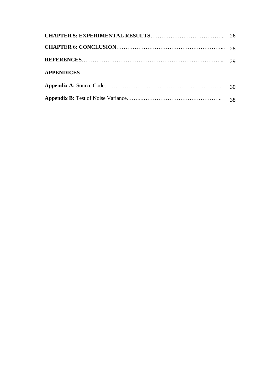| <b>APPENDICES</b> |    |
|-------------------|----|
|                   | 30 |
|                   | 38 |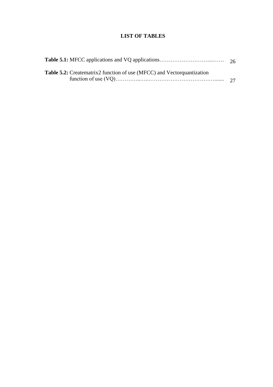## **LIST OF TABLES**

| <b>Table 5.2:</b> Creatematrix2 function of use (MFCC) and Vector quantization |  |
|--------------------------------------------------------------------------------|--|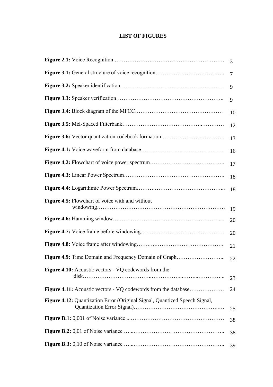## **LIST OF FIGURES**

|                                                                            | 3  |  |  |  |  |
|----------------------------------------------------------------------------|----|--|--|--|--|
| $\overline{7}$                                                             |    |  |  |  |  |
| 9                                                                          |    |  |  |  |  |
|                                                                            | 9  |  |  |  |  |
|                                                                            | 10 |  |  |  |  |
| 12                                                                         |    |  |  |  |  |
| 13                                                                         |    |  |  |  |  |
|                                                                            | 16 |  |  |  |  |
|                                                                            | 17 |  |  |  |  |
|                                                                            | 18 |  |  |  |  |
|                                                                            | 18 |  |  |  |  |
| Figure 4.5: Flowchart of voice with and without                            | 19 |  |  |  |  |
|                                                                            | 20 |  |  |  |  |
|                                                                            | 20 |  |  |  |  |
|                                                                            | 21 |  |  |  |  |
| Figure 4.9: Time Domain and Frequency Domain of Graph                      | 22 |  |  |  |  |
| <b>Figure 4.10:</b> Acoustic vectors - VQ codewords from the               | 23 |  |  |  |  |
| <b>Figure 4.11:</b> Acoustic vectors - VQ codewords from the database      | 24 |  |  |  |  |
| Figure 4.12: Quantization Error (Original Signal, Quantized Speech Signal, | 25 |  |  |  |  |
|                                                                            | 38 |  |  |  |  |
|                                                                            | 38 |  |  |  |  |
|                                                                            | 39 |  |  |  |  |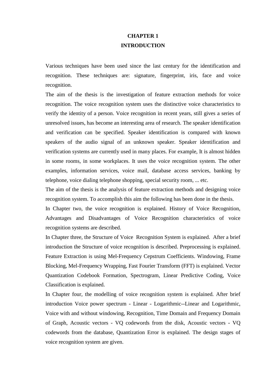## **CHAPTER 1 INTRODUCTION**

Various techniques have been used since the last century for the identification and recognition. These techniques are: signature, fingerprint, iris, face and voice recognition.

The aim of the thesis is the investigation of feature extraction methods for voice recognition. The voice recognition system uses the distinctive voice characteristics to verify the identity of a person. Voice recognition in recent years, still gives a series of unresolved issues, has become an interesting area of research. The speaker identification and verification can be specified. Speaker identification is compared with known speakers of the audio signal of an unknown speaker. Speaker identification and verification systems are currently used in many places. For example, It is almost hidden in some rooms, in some workplaces. It uses the voice recognition system. The other examples, information services, voice mail, database access services, banking by telephone, voice dialing telephone shopping, special security room, ... etc.

The aim of the thesis is the analysis of feature extraction methods and designing voice recognition system. To accomplish this aim the following has been done in the thesis.

In Chapter two, the voice recognition is explained. History of Voice Recognition, Advantages and Disadvantages of Voice Recognition characteristics of voice recognition systems are described.

In Chapter three, the Structure of Voice Recognition System is explained. After a brief introduction the Structure of voice recognition is described. Preprocessing is explained. Feature Extraction is using Mel-Frequency Cepstrum Coefficients. Windowing, Frame Blocking, Mel-Frequency Wrapping, Fast Fourier Transform (FFT) is explained. Vector Quantization Codebook Formation, Spectrogram, Linear Predictive Coding, Voice Classification is explained.

In Chapter four, the modelling of voice recognition system is explained. After brief introduction Voice power spectrum - Linear - Logarithmic--Linear and Logarithmic, Voice with and without windowing, Recognition, Time Domain and Frequency Domain of Graph, Acoustic vectors - VQ codewords from the disk, Acoustic vectors - VQ codewords from the database, Quantization Error is explained. The design stages of voice recognition system are given.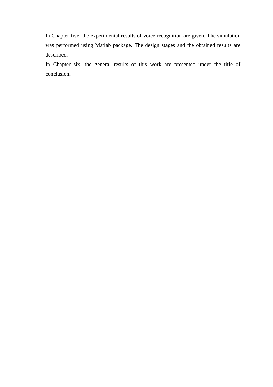In Chapter five, the experimental results of voice recognition are given. The simulation was performed using Matlab package. The design stages and the obtained results are described.

In Chapter six, the general results of this work are presented under the title of conclusion.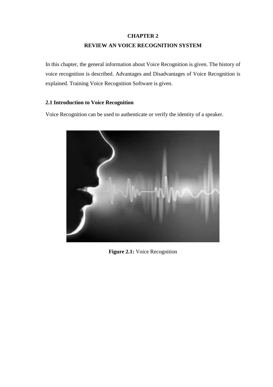## **CHAPTER 2 REVIEW AN VOICE RECOGNITION SYSTEM**

In this chapter, the general information about Voice Recognition is given. The history of voice recognition is described. Advantages and Disadvantages of Voice Recognition is explained. Training Voice Recognition Software is given.

#### **2.1 Introduction to Voice Recognition**

Voice Recognition can be used to authenticate or verify the identity of a speaker.



**Figure 2.1:** Voice Recognition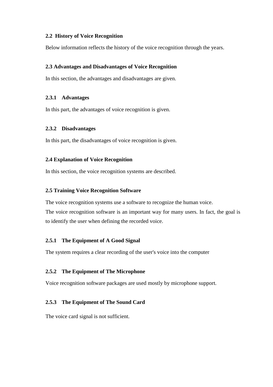#### **2.2 History of Voice Recognition**

Below information reflects the history of the voice recognition through the years.

#### **2.3 Advantages and Disadvantages of Voice Recognition**

In this section, the advantages and disadvantages are given.

#### **2.3.1 Advantages**

In this part, the advantages of voice recognition is given.

#### **2.3.2 Disadvantages**

In this part, the disadvantages of voice recognition is given.

#### **2.4 Explanation of Voice Recognition**

In this section, the voice recognition systems are described.

#### **2.5 Training Voice Recognition Software**

The voice recognition systems use a software to recognize the human voice. The voice recognition software is an important way for many users. In fact, the goal is to identify the user when defining the recorded voice.

#### **2.5.1 The Equipment of A Good Signal**

The system requires a clear recording of the user's voice into the computer

#### **2.5.2 The Equipment of The Microphone**

Voice recognition software packages are used mostly by microphone support.

#### **2.5.3 The Equipment of The Sound Card**

The voice card signal is not sufficient.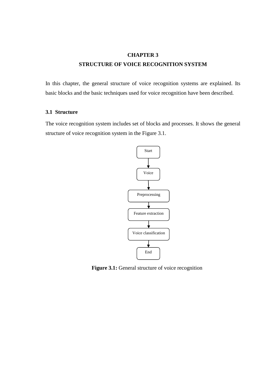## **CHAPTER 3 STRUCTURE OF VOICE RECOGNITION SYSTEM**

In this chapter, the general structure of voice recognition systems are explained. Its basic blocks and the basic techniques used for voice recognition have been described.

#### **3.1 Structure**

The voice recognition system includes set of blocks and processes. It shows the general structure of voice recognition system in the Figure 3.1.



Figure 3.1: General structure of voice recognition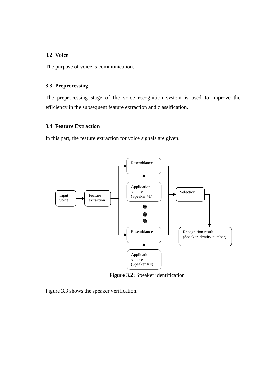#### **3.2 Voice**

The purpose of voice is communication.

#### **3.3 Preprocessing**

The preprocessing stage of the voice recognition system is used to improve the efficiency in the subsequent feature extraction and classification.

#### **3.4 Feature Extraction**

In this part, the feature extraction for voice signals are given.



**Figure 3.2:** Speaker identification

Figure 3.3 shows the speaker verification.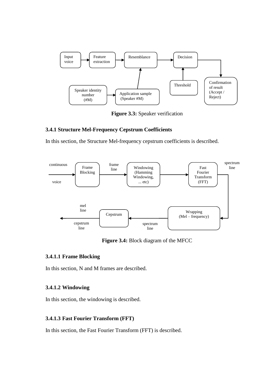

**Figure 3.3:** Speaker verification

#### **3.4.1 Structure Mel-Frequency Cepstrum Coefficients**

In this section, the Structure Mel-frequency cepstrum coefficients is described.



**Figure 3.4:** Block diagram of the MFCC

#### **3.4.1.1 Frame Blocking**

In this section, N and M frames are described.

#### **3.4.1.2 Windowing**

In this section, the windowing is described.

#### **3.4.1.3 Fast Fourier Transform (FFT)**

In this section, the Fast Fourier Transform (FFT) is described.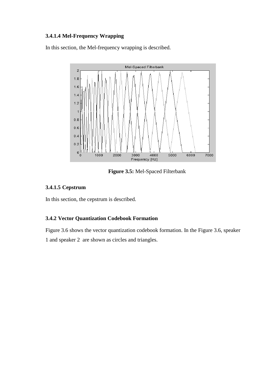## **3.4.1.4 Mel-Frequency Wrapping**

In this section, the Mel-frequency wrapping is described.



**Figure 3.5:** Mel-Spaced Filterbank

#### **3.4.1.5 Cepstrum**

In this section, the cepstrum is described.

#### **3.4.2 Vector Quantization Codebook Formation**

Figure 3.6 shows the vector quantization codebook formation. In the Figure 3.6, speaker 1 and speaker 2 are shown as circles and triangles.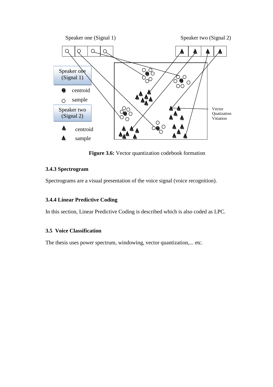

**Figure 3.6:** Vector quantization codebook formation

#### **3.4.3 Spectrogram**

Spectrograms are a visual presentation of the voice signal (voice recognition).

#### **3.4.4 Linear Predictive Coding**

In this section, Linear Predictive Coding is described which is also coded as LPC.

#### **3.5 Voice Classification**

The thesis uses power spectrum, windowing, vector quantization,... etc.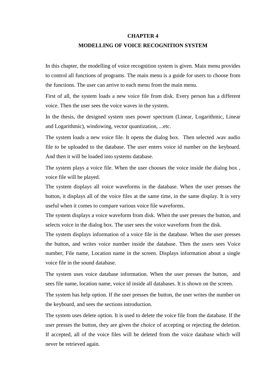#### **CHAPTER 4**

#### **MODELLING OF VOICE RECOGNITION SYSTEM**

In this chapter, the modelling of voice recognition system is given. Main menu provides to control all functions of programs. The main menu is a guide for users to choose from the functions. The user can arrive to each menu from the main menu.

First of all, the system loads a new voice file from disk. Every person has a different voice. Then the user sees the voice waves in the system.

In the thesis, the designed system uses power spectrum (Linear, Logarithmic, Linear and Logarithmic), windowing, vector quantization, ...etc.

The system loads a new voice file. It opens the dialog box. Then selected .wav audio file to be uploaded to the database. The user enters voice id number on the keyboard. And then it will be loaded into systems database.

The system plays a voice file. When the user chooses the voice inside the dialog box, voice file will be played.

The system displays all voice waveforms in the database. When the user presses the button, it displays all of the voice files at the same time, in the same display. It is very useful when it comes to compare various voice file waveforms.

The system displays a voice waveform from disk. When the user presses the button, and selects voice in the dialog box. The user sees the voice waveform from the disk.

The system displays information of a voice file in the database. When the user presses the button, and writes voice number inside the database. Then the users sees Voice number, File name, Location name in the screen. Displays information about a single voice file in the sound database.

The system uses voice database information. When the user presses the button, and sees file name, location name, voice id inside all databases. It is shown on the screen.

The system has help option. If the user presses the button, the user writes the number on the keyboard, and sees the sections introduction.

The system uses delete option. It is used to delete the voice file from the database. If the user presses the button, they are given the choice of accepting or rejecting the deletion. If accepted, all of the voice files will be deleted from the voice database which will never be retrieved again.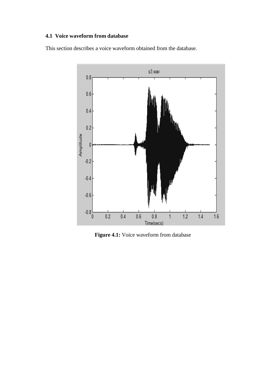#### **4.1 Voice waveform from database**

This section describes a voice waveform obtained from the database.



**Figure 4.1:** Voice waveform from database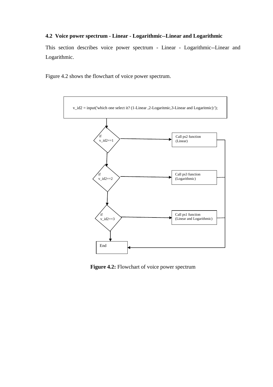#### **4.2 Voice power spectrum - Linear - Logarithmic--Linear and Logarithmic**

This section describes voice power spectrum - Linear - Logarithmic--Linear and Logarithmic.

Figure 4.2 shows the flowchart of voice power spectrum.



**Figure 4.2:** Flowchart of voice power spectrum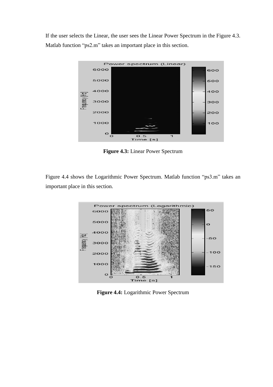If the user selects the Linear, the user sees the Linear Power Spectrum in the Figure 4.3. Matlab function "ps2.m" takes an important place in this section.



**Figure 4.3:** Linear Power Spectrum

Figure 4.4 shows the Logarithmic Power Spectrum. Matlab function "ps3.m" takes an important place in this section.



**Figure 4.4:** Logarithmic Power Spectrum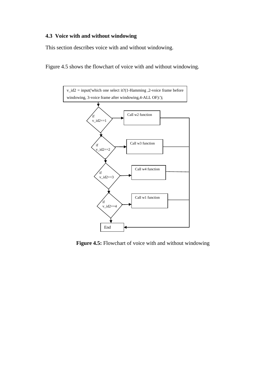#### **4.3 Voice with and without windowing**

This section describes voice with and without windowing.

Figure 4.5 shows the flowchart of voice with and without windowing.



**Figure 4.5:** Flowchart of voice with and without windowing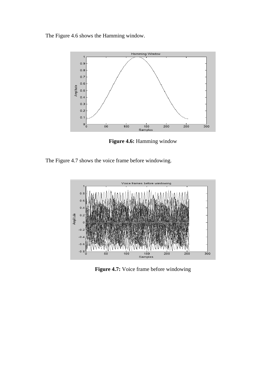The Figure 4.6 shows the Hamming window.



**Figure 4.6:** Hamming window





**Figure 4.7:** Voice frame before windowing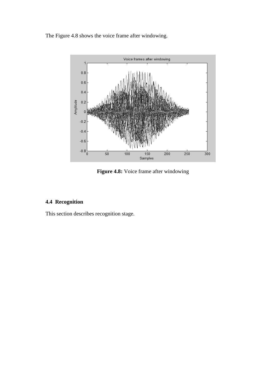The Figure 4.8 shows the voice frame after windowing.



**Figure 4.8:** Voice frame after windowing

## **4.4 Recognition**

This section describes recognition stage.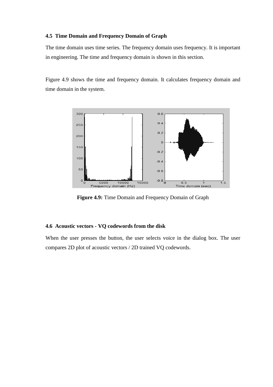#### **4.5 Time Domain and Frequency Domain of Graph**

The time domain uses time series. The frequency domain uses frequency. It is important in engineering. The time and frequency domain is shown in this section.

Figure 4.9 shows the time and frequency domain. It calculates frequency domain and time domain in the system.



**Figure 4.9:** Time Domain and Frequency Domain of Graph

#### **4.6 Acoustic vectors - VQ codewords from the disk**

When the user presses the button, the user selects voice in the dialog box. The user compares 2D plot of acoustic vectors / 2D trained VQ codewords.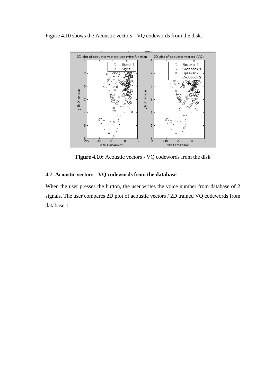Figure 4.10 shows the Acoustic vectors - VQ codewords from the disk.



**Figure 4.10:** Acoustic vectors - VQ codewords from the disk

#### **4.7 Acoustic vectors - VQ codewords from the database**

When the user presses the button, the user writes the voice number from database of 2 signals. The user compares 2D plot of acoustic vectors / 2D trained VQ codewords from database 1.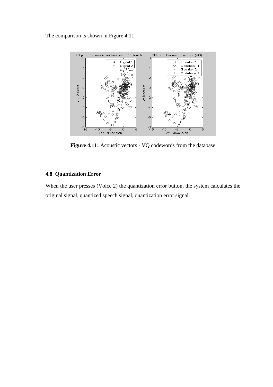The comparison is shown in Figure 4.11.



**Figure 4.11:** Acoustic vectors - VQ codewords from the database

#### **4.8 Quantization Error**

When the user presses (Voice 2) the quantization error button, the system calculates the original signal, quantized speech signal, quantization error signal.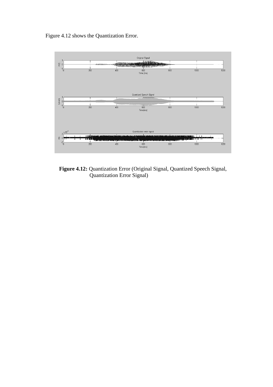Figure 4.12 shows the Quantization Error.



**Figure 4.12:** Quantization Error (Original Signal, Quantized Speech Signal, Quantization Error Signal)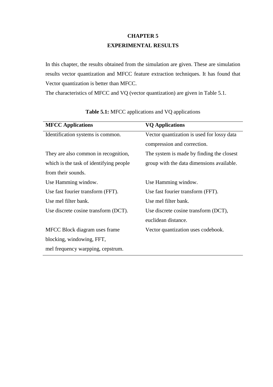## **CHAPTER 5 EXPERIMENTAL RESULTS**

In this chapter, the results obtained from the simulation are given. These are simulation results vector quantization and MFCC feature extraction techniques. It has found that Vector quantization is better than MFCC.

The characteristics of MFCC and VQ (vector quantization) are given in Table 5.1.

| <b>MFCC</b> Applications                | <b>VQ</b> Applications                     |
|-----------------------------------------|--------------------------------------------|
| Identification systems is common.       | Vector quantization is used for lossy data |
|                                         | compression and correction.                |
| They are also common in recognition,    | The system is made by finding the closest  |
| which is the task of identifying people | group with the data dimensions available.  |
| from their sounds.                      |                                            |
| Use Hamming window.                     | Use Hamming window.                        |
| Use fast fourier transform (FFT).       | Use fast fourier transform (FFT).          |
| Use mel filter bank.                    | Use mel filter bank.                       |
| Use discrete cosine transform (DCT).    | Use discrete cosine transform (DCT),       |
|                                         | euclidean distance.                        |
| MFCC Block diagram uses frame           | Vector quantization uses codebook.         |
| blocking, windowing, FFT,               |                                            |
| mel frequency warpping, cepstrum.       |                                            |

|  |  | <b>Table 5.1:</b> MFCC applications and VQ applications |
|--|--|---------------------------------------------------------|
|  |  |                                                         |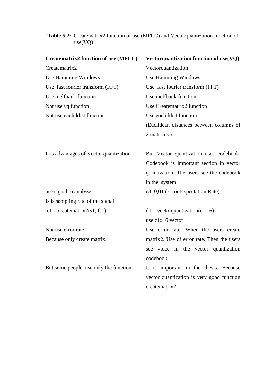| Vectorquantization function of use(VQ)     |  |
|--------------------------------------------|--|
| Vectorquantization                         |  |
| <b>Use Hamming Windows</b>                 |  |
| Use fast fourier transform (FFT)           |  |
| Use melfbank function                      |  |
| Use Creatematrix2 function                 |  |
| Use eucliddist function                    |  |
| (Euclidean distances between columns of    |  |
| 2 matrices.)                               |  |
|                                            |  |
| But Vector quantization uses codebook.     |  |
| Codebook is important section in vector    |  |
| quantization. The users see the codebook   |  |
| in the system.                             |  |
| e3=0,01 (Error Expectation Rate)           |  |
|                                            |  |
| $d1 = vectorquantization(c1,16);$          |  |
| use c1x16 vector                           |  |
| Use error rate. When the users create      |  |
| matrix2. Use of error rate. Then the users |  |
| see voice in the vector quantization       |  |
| codebook.                                  |  |
| It is important in the thesis. Because     |  |
| vector quantization is very good function  |  |
| creatematrix2.                             |  |
|                                            |  |

#### **Table 5.2:** Creatematrix2 function of use (MFCC) and Vectorquantization function of use(VQ)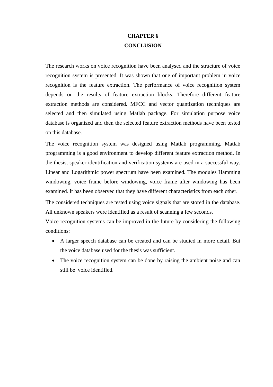## **CHAPTER 6 CONCLUSION**

The research works on voice recognition have been analysed and the structure of voice recognition system is presented. It was shown that one of important problem in voice recognition is the feature extraction. The performance of voice recognition system depends on the results of feature extraction blocks. Therefore different feature extraction methods are considered. MFCC and vector quantization techniques are selected and then simulated using Matlab package. For simulation purpose voice database is organized and then the selected feature extraction methods have been tested on this database.

The voice recognition system was designed using Matlab programming. Matlab programming is a good environment to develop different feature extraction method. In the thesis, speaker identification and verification systems are used in a successful way. Linear and Logarithmic power spectrum have been examined. The modules Hamming windowing, voice frame before windowing, voice frame after windowing has been examined. It has been observed that they have different characteristics from each other.

The considered techniques are tested using voice signals that are stored in the database. All unknown speakers were identified as a result of scanning a few seconds.

Voice recognition systems can be improved in the future by considering the following conditions:

- A larger speech database can be created and can be studied in more detail. But the voice database used for the thesis was sufficient.
- The voice recognition system can be done by raising the ambient noise and can still be voice identified.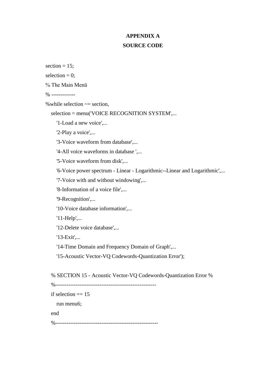## **APPENDIX A SOURCE CODE**

section  $= 15$ ;

selection  $= 0$ :

% The Main Menü

% -------------

% while selection  $\sim$  = section,

selection = menu('VOICE RECOGNITION SYSTEM',...

'1-Load a new voice'....

'2-Play a voice',...

'3-Voice waveform from database',...

'4-All voice waveforms in database '....

'5-Voice waveform from disk',...

'6-Voice power spectrum - Linear - Logarithmic--Linear and Logarithmic',...

'7-Voice with and without windowing',...

'8-Information of a voice file',...

'9-Recognition',...

'10-Voice database information',...

'11-Help',...

'12-Delete voice database',...

'13-Exit',...

'14-Time Domain and Frequency Domain of Graph',...

'15-Acoustic Vector-VQ Codewords-Quantization Error');

% SECTION 15 - Acoustic Vector-VQ Codewords-Quantization Error %

 %------------------------------------------------------ if selection  $== 15$  run menu6; end %--------------------------------------------------------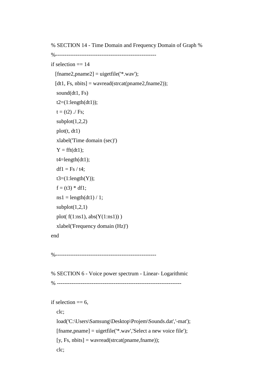% SECTION 14 - Time Domain and Frequency Domain of Graph %

```
 %-------------------------------------------------------
if selection == 14[\text{frame2}, \text{pname2}] = \text{uigetfile}("*, \text{wav});
  [dt1, Fs, nbits] = wavread(strcat(pname2, frame2)); sound(dt1, Fs)
  t2=(1:length(dt1));t = (t2) / Fs;subplot(1,2,2) plot(t, dt1)
   xlabel('Time domain (sec)')
  Y = fft(dt1);t4 = length(dt1);df1 = Fs / t4;t3=(1:length(Y));f = (t3) * df1;ns1 = length(dt1) / 1;subplot(1,2,1)plot(f(1:ns1), abs(Y(1:ns1)))
   xlabel('Frequency domain (Hz)')
 end
```
%-------------------------------------------------------

 % SECTION 6 - Voice power spectrum - Linear- Logarithmic % --------------------------------------------------------------------

```
if selection == 6,
```
clc;

 load('C:\Users\Samsung\Desktop\Projem\Sounds.dat','-mat'); [fname,pname] = uigetfile('\*.wav','Select a new voice file');  $[y, Fs, nbits] = wavread(strcat(pname, frame))$ ; clc;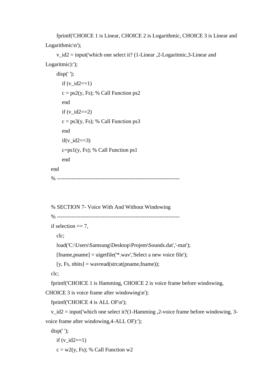fprintf('CHOICE 1 is Linear, CHOICE 2 is Logarithmic, CHOICE 3 is Linear and Logarithmic\n');

v  $id2 = input('which one select it? (1-Linear, 2-Logarithmic, 3-Linear and 1)$ Logaritmic):');

```
 disp(' ');
     if (v_id2==1)
     c = ps2(y, Fs); % Call Function ps2
      end
     if (v_id2==2)c = ps3(y, Fs); % Call Function ps3
      end
     if(v_id2 == 3)c=ps1(y, Fs); % Call Function ps1
      end
 end
 % -------------------------------------------------------------------
```

```
 % SECTION 7- Voice With And Without Windowing
   % ------------------------------------------------------------------- 
  if selection == 7.
      clc; 
      load('C:\Users\Samsung\Desktop\Projem\Sounds.dat','-mat');
      [fname,pname] = uigetfile('*.wav','Select a new voice file');
     [y, Fs, nbits] = wavread(strcat(pname, frame));
   clc; 
   fprintf('CHOICE 1 is Hamming, CHOICE 2 is voice frame before windowing, 
CHOICE 3 is voice frame after windowing\langle n' \rangle;
   fprintf('CHOICE 4 is ALL OF\n');
  v_id2 = input ('which one select it?(1-Hamming ,2-voice frame before windowing, 3-
voice frame after windowing,4-ALL OF):'); 
   disp(' ');
    if (v_id2==1)c = w2(y, Fs); % Call Function w2
```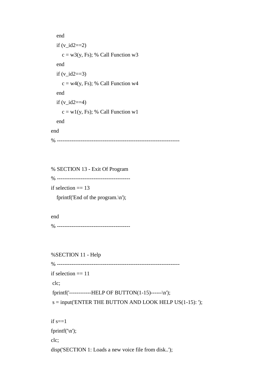```
 end
  if (v_id2==2)c = w3(y, Fs); % Call Function w3
   end
  if (v_id2 == 3)c = w4(y, Fs); % Call Function w4
   end
  if (v_id2==4)c = w1(y, Fs); % Call Function w1
   end
 end 
 % -------------------------------------------------------------------
```
 % SECTION 13 - Exit Of Program % ----------------------------------------

if selection  $== 13$ 

fprintf('End of the program.\n');

 end % ----------------------------------------

%SECTION 11 - Help

% -------------------------------------------------------------------

```
if selection == 11
```
clc;

fprintf('------------HELP OF BUTTON(1-15)------\n');

 $s = input(ENTER THE BUTTON AND LOOK HELP US(1-15):');$ 

if  $s == 1$ 

fprintf('\n');

clc;

disp('SECTION 1: Loads a new voice file from disk..');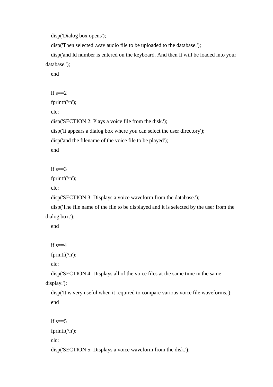disp('Dialog box opens');

disp('Then selected .wav audio file to be uploaded to the database.');

 disp('and Id number is entered on the keyboard. And then It will be loaded into your database.');

end

```
if s == 2 fprintf('\n');
 clc;
 disp('SECTION 2: Plays a voice file from the disk.');
 disp('It appears a dialog box where you can select the user directory'); 
 disp('and the filename of the voice file to be played');
 end
```
if  $s == 3$ 

fprintf( $\ln$ );

clc;

disp('SECTION 3: Displays a voice waveform from the database.');

 disp('The file name of the file to be displayed and it is selected by the user from the dialog box.');

end

if  $s = 4$ 

fprintf('\n');

clc;

 disp('SECTION 4: Displays all of the voice files at the same time in the same display.');

 disp('It is very useful when it required to compare various voice file waveforms.'); end

```
if s == 5 fprintf('\n');
 clc;
 disp('SECTION 5: Displays a voice waveform from the disk.');
```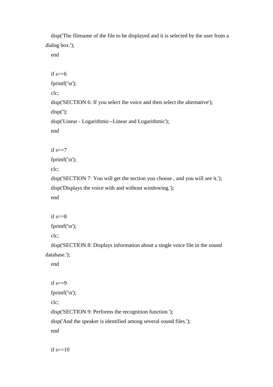disp('The filename of the file to be displayed and it is selected by the user from a dialog box.');

end

```
if s==6 fprintf('\n');
   clc;
   disp('SECTION 6: If you select the voice and then select the alternative'); 
  disp("); disp('Linear - Logarithmic--Linear and Logarithmic');
   end
  if s == 7fprintf(\ln);
   clc;
   disp('SECTION 7: You will get the section you choose , and you will see it.');
   disp('Displays the voice with and without windowing.');
   end
  if s == 8 fprintf('\n');
   clc;
   disp('SECTION 8: Displays information about a single voice file in the sound 
database.'); 
   end
```
if  $s == 9$  fprintf('\n'); clc; disp('SECTION 9: Performs the recognition function '); disp('And the speaker is identified among several sound files.'); end

if  $s == 10$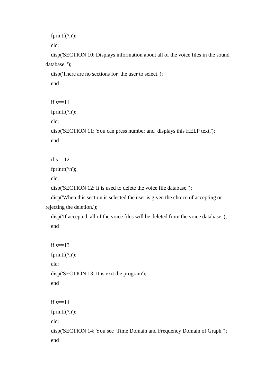```
 fprintf('\n');
```
clc;

 disp('SECTION 10: Displays information about all of the voice files in the sound database. ');

```
 disp('There are no sections for the user to select.'); 
 end
```

```
if s=11
```

```
 fprintf('\n');
```
clc;

```
 disp('SECTION 11: You can press number and displays this HELP text.'); 
 end
```

```
if s == 12
```
fprintf('\n');

clc;

disp('SECTION 12: It is used to delete the voice file database.');

 disp('When this section is selected the user is given the choice of accepting or rejecting the deletion.');

 disp('If accepted, all of the voice files will be deleted from the voice database.'); end

```
if s=13 fprintf('\n');
 clc;
 disp('SECTION 13: It is exit the program'); 
 end
if s == 14fprintf(\ln);
 clc;
 disp('SECTION 14: You see Time Domain and Frequency Domain of Graph.'); 
 end
```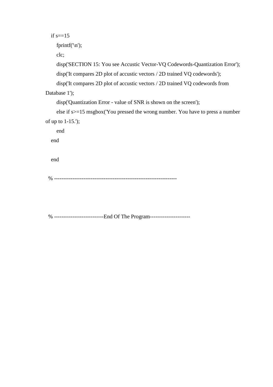```
if s=15
```
fprintf('\n');

clc;

disp('SECTION 15: You see Accustic Vector-VQ Codewords-Quantization Error');

disp('It compares 2D plot of accustic vectors / 2D trained VQ codewords');

disp('It compares 2D plot of accustic vectors / 2D trained VQ codewords from

Database 1');

disp('Quantization Error - value of SNR is shown on the screen');

 else if s>=15 msgbox('You pressed the wrong number. You have to press a number of up to 1-15.');

end

end

end

% -------------------------------------------------------------------

% ---------------------------End Of The Program----------------------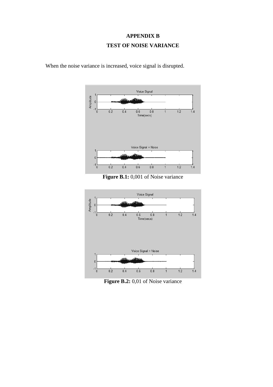## **APPENDIX B TEST OF NOISE VARIANCE**



When the noise variance is increased, voice signal is disrupted.





Figure B.2: 0,01 of Noise variance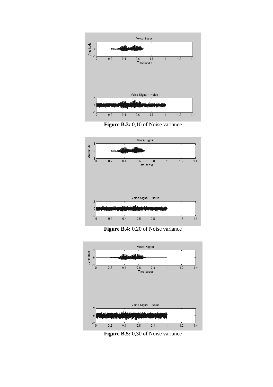





Figure B.4: 0,20 of Noise variance



**Figure B.5:** 0,30 of Noise variance